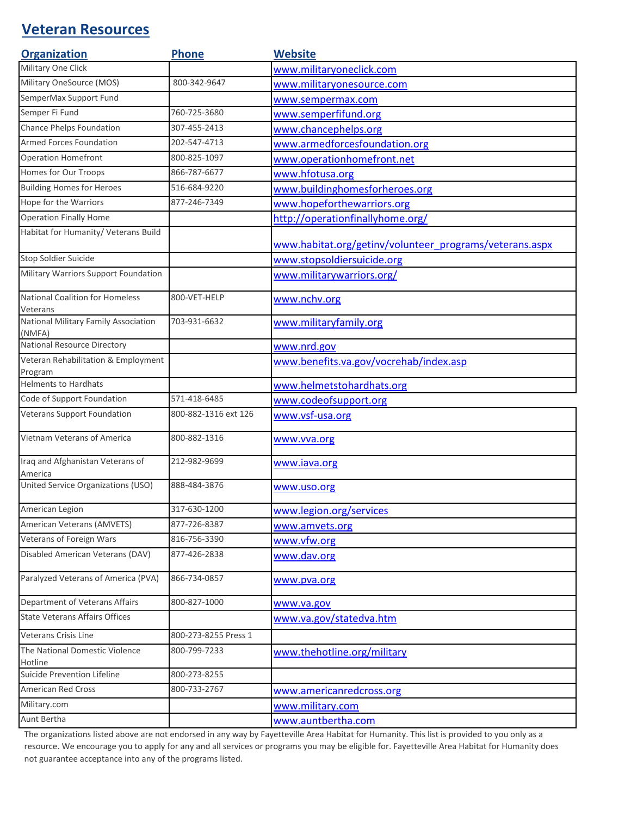## **Veteran Resources**

| <b>Organization</b>                            | <b>Phone</b>         | <b>Website</b>                                          |
|------------------------------------------------|----------------------|---------------------------------------------------------|
| Military One Click                             |                      | www.militaryoneclick.com                                |
| Military OneSource (MOS)                       | 800-342-9647         | www.militaryonesource.com                               |
| SemperMax Support Fund                         |                      | www.sempermax.com                                       |
| Semper Fi Fund                                 | 760-725-3680         | www.semperfifund.org                                    |
| Chance Phelps Foundation                       | 307-455-2413         | www.chancephelps.org                                    |
| Armed Forces Foundation                        | 202-547-4713         | www.armedforcesfoundation.org                           |
| Operation Homefront                            | 800-825-1097         | www.operationhomefront.net                              |
| Homes for Our Troops                           | 866-787-6677         | www.hfotusa.org                                         |
| <b>Building Homes for Heroes</b>               | 516-684-9220         | www.buildinghomesforheroes.org                          |
| Hope for the Warriors                          | 877-246-7349         | www.hopeforthewarriors.org                              |
| <b>Operation Finally Home</b>                  |                      | http://operationfinallyhome.org/                        |
| Habitat for Humanity/ Veterans Build           |                      | www.habitat.org/getinv/volunteer_programs/veterans.aspx |
| Stop Soldier Suicide                           |                      | www.stopsoldiersuicide.org                              |
| Military Warriors Support Foundation           |                      | www.militarywarriors.org/                               |
| National Coalition for Homeless<br>Veterans    | 800-VET-HELP         | www.nchv.org                                            |
| National Military Family Association<br>(NMFA) | 703-931-6632         | www.militaryfamily.org                                  |
| National Resource Directory                    |                      | www.nrd.gov                                             |
| Veteran Rehabilitation & Employment<br>Program |                      | www.benefits.va.gov/vocrehab/index.asp                  |
| <b>Helments to Hardhats</b>                    |                      | www.helmetstohardhats.org                               |
| Code of Support Foundation                     | 571-418-6485         | www.codeofsupport.org                                   |
| Veterans Support Foundation                    | 800-882-1316 ext 126 | www.vsf-usa.org                                         |
| Vietnam Veterans of America                    | 800-882-1316         | www.vva.org                                             |
| Iraq and Afghanistan Veterans of<br>America    | 212-982-9699         | www.iava.org                                            |
| United Service Organizations (USO)             | 888-484-3876         | www.uso.org                                             |
| American Legion                                | 317-630-1200         | www.legion.org/services                                 |
| American Veterans (AMVETS)                     | 877-726-8387         | www.amvets.org                                          |
| Veterans of Foreign Wars                       | 816-756-3390         | www.vfw.org                                             |
| Disabled American Veterans (DAV)               | 877-426-2838         | www.dav.org                                             |
| Paralyzed Veterans of America (PVA)            | 866-734-0857         | www.pva.org                                             |
| Department of Veterans Affairs                 | 800-827-1000         | www.va.gov                                              |
| <b>State Veterans Affairs Offices</b>          |                      | www.va.gov/statedva.htm                                 |
| Veterans Crisis Line                           | 800-273-8255 Press 1 |                                                         |
| The National Domestic Violence                 | 800-799-7233         | www.thehotline.org/military                             |
| Hotline                                        |                      |                                                         |
| <b>Suicide Prevention Lifeline</b>             | 800-273-8255         |                                                         |
| American Red Cross                             | 800-733-2767         | www.americanredcross.org                                |
| Military.com                                   |                      | www.military.com                                        |
| Aunt Bertha                                    |                      | www.auntbertha.com                                      |

The organizations listed above are not endorsed in any way by Fayetteville Area Habitat for Humanity. This list is provided to you only as a resource. We encourage you to apply for any and all services or programs you may be eligible for. Fayetteville Area Habitat for Humanity does not guarantee acceptance into any of the programs listed.